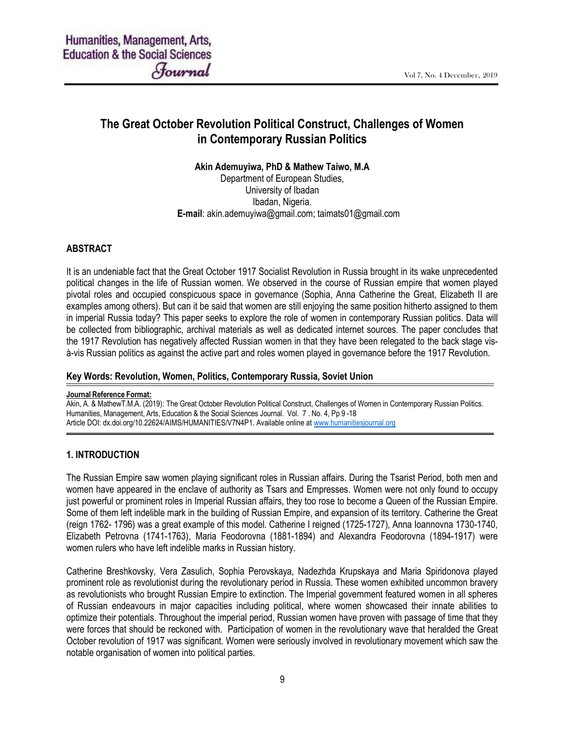# The Great October Revolution Political Construct, Challenges of Women in Contemporary Russian Politics

#### Akin Ademuyiwa, PhD & Mathew Taiwo, M.A

Department of European Studies, University of Ibadan Ibadan, Nigeria. E-mail: akin.ademuyiwa@gmail.com; taimats01@gmail.com

## **ABSTRACT**

It is an undeniable fact that the Great October 1917 Socialist Revolution in Russia brought in its wake unprecedented political changes in the life of Russian women. We observed in the course of Russian empire that women played pivotal roles and occupied conspicuous space in governance (Sophia, Anna Catherine the Great, Elizabeth II are examples among others). But can it be said that women are still enjoying the same position hitherto assigned to them in imperial Russia today? This paper seeks to explore the role of women in contemporary Russian politics. Data will be collected from bibliographic, archival materials as well as dedicated internet sources. The paper concludes that the 1917 Revolution has negatively affected Russian women in that they have been relegated to the back stage visà-vis Russian politics as against the active part and roles women played in governance before the 1917 Revolution.

#### Key Words: Revolution, Women, Politics, Contemporary Russia, Soviet Union

#### Journal Reference Format:

Akin, A. & MathewT.M.A. (2019): The Great October Revolution Political Construct, Challenges of Women in Contemporary Russian Politics. Humanities, Management, Arts, Education & the Social Sciences Journal. Vol. 7 . No. 4, Pp 9 -18 Article DOI: dx.doi.org/10.22624/AIMS/HUMANITIES/V7N4P1. Available online at www.humanitiesjournal.org

#### 1. INTRODUCTION

The Russian Empire saw women playing significant roles in Russian affairs. During the Tsarist Period, both men and women have appeared in the enclave of authority as Tsars and Empresses. Women were not only found to occupy just powerful or prominent roles in Imperial Russian affairs, they too rose to become a Queen of the Russian Empire. Some of them left indelible mark in the building of Russian Empire, and expansion of its territory. Catherine the Great (reign 1762- 1796) was a great example of this model. Catherine I reigned (1725-1727), Anna Ioannovna 1730-1740, Elizabeth Petrovna (1741-1763), Maria Feodorovna (1881-1894) and Alexandra Feodorovna (1894-1917) were women rulers who have left indelible marks in Russian history.

Catherine Breshkovsky, Vera Zasulich, Sophia Perovskaya, Nadezhda Krupskaya and Maria Spiridonova played prominent role as revolutionist during the revolutionary period in Russia. These women exhibited uncommon bravery as revolutionists who brought Russian Empire to extinction. The Imperial government featured women in all spheres of Russian endeavours in major capacities including political, where women showcased their innate abilities to optimize their potentials. Throughout the imperial period, Russian women have proven with passage of time that they were forces that should be reckoned with. Participation of women in the revolutionary wave that heralded the Great October revolution of 1917 was significant. Women were seriously involved in revolutionary movement which saw the notable organisation of women into political parties.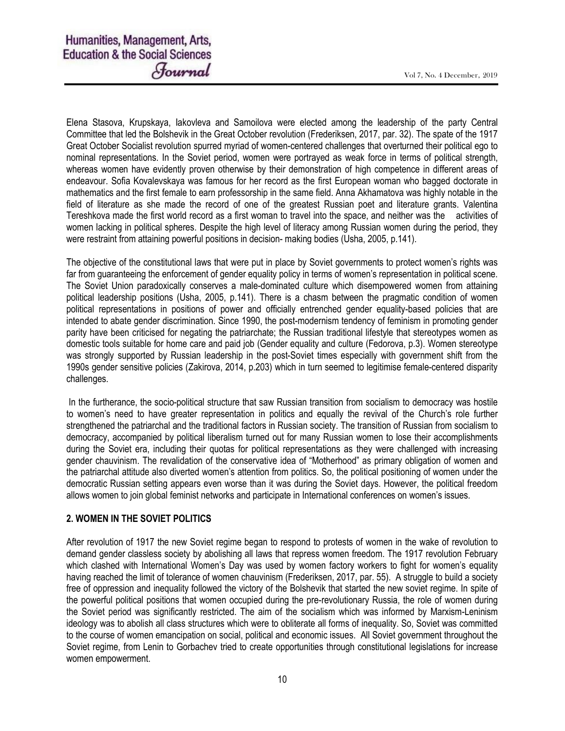Elena Stasova, Krupskaya, Iakovleva and Samoilova were elected among the leadership of the party Central Committee that led the Bolshevik in the Great October revolution (Frederiksen, 2017, par. 32). The spate of the 1917 Great October Socialist revolution spurred myriad of women-centered challenges that overturned their political ego to nominal representations. In the Soviet period, women were portrayed as weak force in terms of political strength, whereas women have evidently proven otherwise by their demonstration of high competence in different areas of endeavour. Sofia Kovalevskaya was famous for her record as the first European woman who bagged doctorate in mathematics and the first female to earn professorship in the same field. Anna Akhamatova was highly notable in the field of literature as she made the record of one of the greatest Russian poet and literature grants. Valentina Tereshkova made the first world record as a first woman to travel into the space, and neither was the activities of women lacking in political spheres. Despite the high level of literacy among Russian women during the period, they were restraint from attaining powerful positions in decision- making bodies (Usha, 2005, p.141).

The objective of the constitutional laws that were put in place by Soviet governments to protect women's rights was far from guaranteeing the enforcement of gender equality policy in terms of women's representation in political scene. The Soviet Union paradoxically conserves a male-dominated culture which disempowered women from attaining political leadership positions (Usha, 2005, p.141). There is a chasm between the pragmatic condition of women political representations in positions of power and officially entrenched gender equality-based policies that are intended to abate gender discrimination. Since 1990, the post-modernism tendency of feminism in promoting gender parity have been criticised for negating the patriarchate; the Russian traditional lifestyle that stereotypes women as domestic tools suitable for home care and paid job (Gender equality and culture (Fedorova, p.3). Women stereotype was strongly supported by Russian leadership in the post-Soviet times especially with government shift from the 1990s gender sensitive policies (Zakirova, 2014, p.203) which in turn seemed to legitimise female-centered disparity challenges.

 In the furtherance, the socio-political structure that saw Russian transition from socialism to democracy was hostile to women's need to have greater representation in politics and equally the revival of the Church's role further strengthened the patriarchal and the traditional factors in Russian society. The transition of Russian from socialism to democracy, accompanied by political liberalism turned out for many Russian women to lose their accomplishments during the Soviet era, including their quotas for political representations as they were challenged with increasing gender chauvinism. The revalidation of the conservative idea of "Motherhood" as primary obligation of women and the patriarchal attitude also diverted women's attention from politics. So, the political positioning of women under the democratic Russian setting appears even worse than it was during the Soviet days. However, the political freedom allows women to join global feminist networks and participate in International conferences on women's issues.

# 2. WOMEN IN THE SOVIET POLITICS

After revolution of 1917 the new Soviet regime began to respond to protests of women in the wake of revolution to demand gender classless society by abolishing all laws that repress women freedom. The 1917 revolution February which clashed with International Women's Day was used by women factory workers to fight for women's equality having reached the limit of tolerance of women chauvinism (Frederiksen, 2017, par. 55). A struggle to build a society free of oppression and inequality followed the victory of the Bolshevik that started the new soviet regime. In spite of the powerful political positions that women occupied during the pre-revolutionary Russia, the role of women during the Soviet period was significantly restricted. The aim of the socialism which was informed by Marxism-Leninism ideology was to abolish all class structures which were to obliterate all forms of inequality. So, Soviet was committed to the course of women emancipation on social, political and economic issues. All Soviet government throughout the Soviet regime, from Lenin to Gorbachev tried to create opportunities through constitutional legislations for increase women empowerment.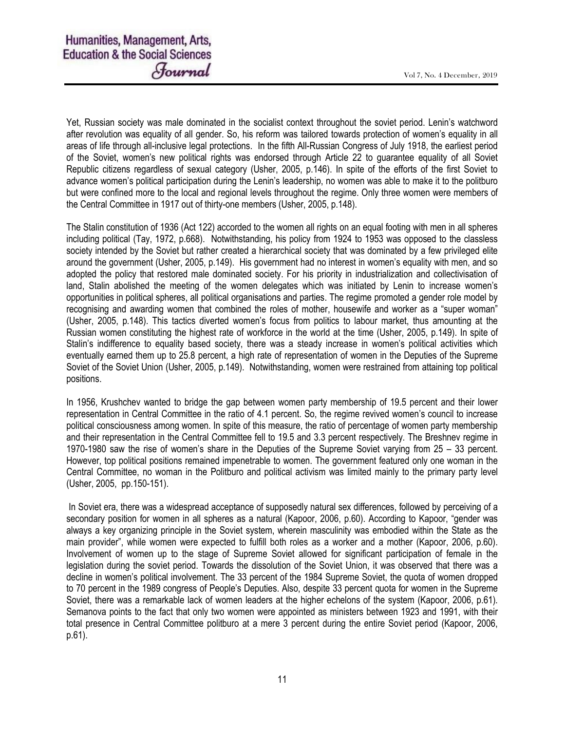Yet, Russian society was male dominated in the socialist context throughout the soviet period. Lenin's watchword after revolution was equality of all gender. So, his reform was tailored towards protection of women's equality in all areas of life through all-inclusive legal protections. In the fifth All-Russian Congress of July 1918, the earliest period of the Soviet, women's new political rights was endorsed through Article 22 to guarantee equality of all Soviet Republic citizens regardless of sexual category (Usher, 2005, p.146). In spite of the efforts of the first Soviet to advance women's political participation during the Lenin's leadership, no women was able to make it to the politburo but were confined more to the local and regional levels throughout the regime. Only three women were members of the Central Committee in 1917 out of thirty-one members (Usher, 2005, p.148).

The Stalin constitution of 1936 (Act 122) accorded to the women all rights on an equal footing with men in all spheres including political (Tay, 1972, p.668). Notwithstanding, his policy from 1924 to 1953 was opposed to the classless society intended by the Soviet but rather created a hierarchical society that was dominated by a few privileged elite around the government (Usher, 2005, p.149). His government had no interest in women's equality with men, and so adopted the policy that restored male dominated society. For his priority in industrialization and collectivisation of land, Stalin abolished the meeting of the women delegates which was initiated by Lenin to increase women's opportunities in political spheres, all political organisations and parties. The regime promoted a gender role model by recognising and awarding women that combined the roles of mother, housewife and worker as a "super woman" (Usher, 2005, p.148). This tactics diverted women's focus from politics to labour market, thus amounting at the Russian women constituting the highest rate of workforce in the world at the time (Usher, 2005, p.149). In spite of Stalin's indifference to equality based society, there was a steady increase in women's political activities which eventually earned them up to 25.8 percent, a high rate of representation of women in the Deputies of the Supreme Soviet of the Soviet Union (Usher, 2005, p.149). Notwithstanding, women were restrained from attaining top political positions.

In 1956, Krushchev wanted to bridge the gap between women party membership of 19.5 percent and their lower representation in Central Committee in the ratio of 4.1 percent. So, the regime revived women's council to increase political consciousness among women. In spite of this measure, the ratio of percentage of women party membership and their representation in the Central Committee fell to 19.5 and 3.3 percent respectively. The Breshnev regime in 1970-1980 saw the rise of women's share in the Deputies of the Supreme Soviet varying from 25 – 33 percent. However, top political positions remained impenetrable to women. The government featured only one woman in the Central Committee, no woman in the Politburo and political activism was limited mainly to the primary party level (Usher, 2005, pp.150-151).

 In Soviet era, there was a widespread acceptance of supposedly natural sex differences, followed by perceiving of a secondary position for women in all spheres as a natural (Kapoor, 2006, p.60). According to Kapoor, "gender was always a key organizing principle in the Soviet system, wherein masculinity was embodied within the State as the main provider", while women were expected to fulfill both roles as a worker and a mother (Kapoor, 2006, p.60). Involvement of women up to the stage of Supreme Soviet allowed for significant participation of female in the legislation during the soviet period. Towards the dissolution of the Soviet Union, it was observed that there was a decline in women's political involvement. The 33 percent of the 1984 Supreme Soviet, the quota of women dropped to 70 percent in the 1989 congress of People's Deputies. Also, despite 33 percent quota for women in the Supreme Soviet, there was a remarkable lack of women leaders at the higher echelons of the system (Kapoor, 2006, p.61). Semanova points to the fact that only two women were appointed as ministers between 1923 and 1991, with their total presence in Central Committee politburo at a mere 3 percent during the entire Soviet period (Kapoor, 2006, p.61).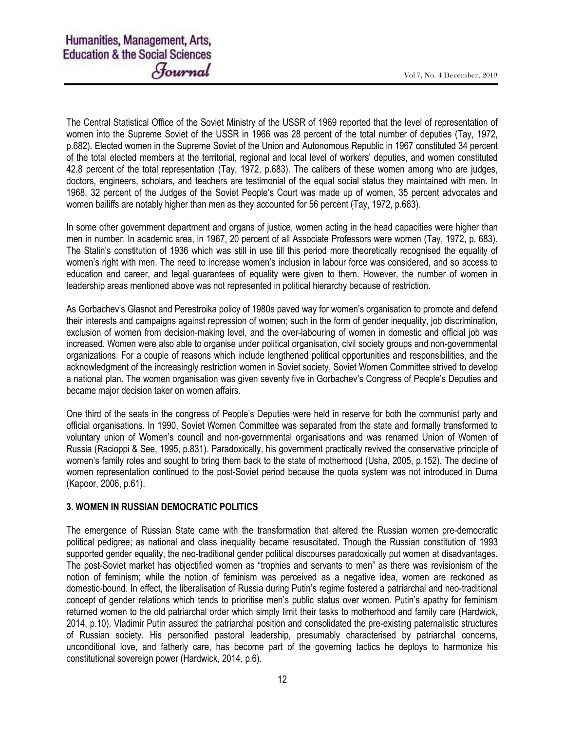The Central Statistical Office of the Soviet Ministry of the USSR of 1969 reported that the level of representation of women into the Supreme Soviet of the USSR in 1966 was 28 percent of the total number of deputies (Tay, 1972, p.682). Elected women in the Supreme Soviet of the Union and Autonomous Republic in 1967 constituted 34 percent of the total elected members at the territorial, regional and local level of workers' deputies, and women constituted 42.8 percent of the total representation (Tay, 1972, p.683). The calibers of these women among who are judges, doctors, engineers, scholars, and teachers are testimonial of the equal social status they maintained with men. In 1968, 32 percent of the Judges of the Soviet People's Court was made up of women, 35 percent advocates and women bailiffs are notably higher than men as they accounted for 56 percent (Tay, 1972, p.683).

In some other government department and organs of justice, women acting in the head capacities were higher than men in number. In academic area, in 1967, 20 percent of all Associate Professors were women (Tay, 1972, p. 683). The Stalin's constitution of 1936 which was still in use till this period more theoretically recognised the equality of women's right with men. The need to increase women's inclusion in labour force was considered, and so access to education and career, and legal guarantees of equality were given to them. However, the number of women in leadership areas mentioned above was not represented in political hierarchy because of restriction.

As Gorbachev's Glasnot and Perestroika policy of 1980s paved way for women's organisation to promote and defend their interests and campaigns against repression of women; such in the form of gender inequality, job discrimination, exclusion of women from decision-making level, and the over-labouring of women in domestic and official job was increased. Women were also able to organise under political organisation, civil society groups and non-governmental organizations. For a couple of reasons which include lengthened political opportunities and responsibilities, and the acknowledgment of the increasingly restriction women in Soviet society, Soviet Women Committee strived to develop a national plan. The women organisation was given seventy five in Gorbachev's Congress of People's Deputies and became major decision taker on women affairs.

One third of the seats in the congress of People's Deputies were held in reserve for both the communist party and official organisations. In 1990, Soviet Women Committee was separated from the state and formally transformed to voluntary union of Women's council and non-governmental organisations and was renamed Union of Women of Russia (Racioppi & See, 1995, p.831). Paradoxically, his government practically revived the conservative principle of women's family roles and sought to bring them back to the state of motherhood (Usha, 2005, p.152). The decline of women representation continued to the post-Soviet period because the quota system was not introduced in Duma (Kapoor, 2006, p.61).

# 3. WOMEN IN RUSSIAN DEMOCRATIC POLITICS

The emergence of Russian State came with the transformation that altered the Russian women pre-democratic political pedigree; as national and class inequality became resuscitated. Though the Russian constitution of 1993 supported gender equality, the neo-traditional gender political discourses paradoxically put women at disadvantages. The post-Soviet market has objectified women as "trophies and servants to men" as there was revisionism of the notion of feminism; while the notion of feminism was perceived as a negative idea, women are reckoned as domestic-bound. In effect, the liberalisation of Russia during Putin's regime fostered a patriarchal and neo-traditional concept of gender relations which tends to prioritise men's public status over women. Putin's apathy for feminism returned women to the old patriarchal order which simply limit their tasks to motherhood and family care (Hardwick, 2014, p.10). Vladimir Putin assured the patriarchal position and consolidated the pre-existing paternalistic structures of Russian society. His personified pastoral leadership, presumably characterised by patriarchal concerns, unconditional love, and fatherly care, has become part of the governing tactics he deploys to harmonize his constitutional sovereign power (Hardwick, 2014, p.6).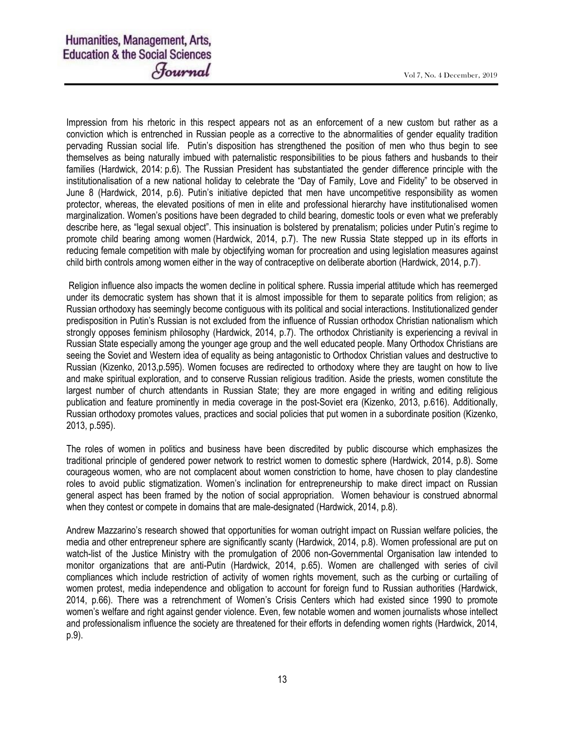Impression from his rhetoric in this respect appears not as an enforcement of a new custom but rather as a conviction which is entrenched in Russian people as a corrective to the abnormalities of gender equality tradition pervading Russian social life. Putin's disposition has strengthened the position of men who thus begin to see themselves as being naturally imbued with paternalistic responsibilities to be pious fathers and husbands to their families (Hardwick, 2014: p.6). The Russian President has substantiated the gender difference principle with the institutionalisation of a new national holiday to celebrate the "Day of Family, Love and Fidelity" to be observed in June 8 (Hardwick, 2014, p.6). Putin's initiative depicted that men have uncompetitive responsibility as women protector, whereas, the elevated positions of men in elite and professional hierarchy have institutionalised women marginalization. Women's positions have been degraded to child bearing, domestic tools or even what we preferably describe here, as "legal sexual object". This insinuation is bolstered by prenatalism; policies under Putin's regime to promote child bearing among women (Hardwick, 2014, p.7). The new Russia State stepped up in its efforts in reducing female competition with male by objectifying woman for procreation and using legislation measures against child birth controls among women either in the way of contraceptive on deliberate abortion (Hardwick, 2014, p.7).

 Religion influence also impacts the women decline in political sphere. Russia imperial attitude which has reemerged under its democratic system has shown that it is almost impossible for them to separate politics from religion; as Russian orthodoxy has seemingly become contiguous with its political and social interactions. Institutionalized gender predisposition in Putin's Russian is not excluded from the influence of Russian orthodox Christian nationalism which strongly opposes feminism philosophy (Hardwick, 2014, p.7). The orthodox Christianity is experiencing a revival in Russian State especially among the younger age group and the well educated people. Many Orthodox Christians are seeing the Soviet and Western idea of equality as being antagonistic to Orthodox Christian values and destructive to Russian (Kizenko, 2013,p.595). Women focuses are redirected to orthodoxy where they are taught on how to live and make spiritual exploration, and to conserve Russian religious tradition. Aside the priests, women constitute the largest number of church attendants in Russian State; they are more engaged in writing and editing religious publication and feature prominently in media coverage in the post-Soviet era (Kizenko, 2013, p.616). Additionally, Russian orthodoxy promotes values, practices and social policies that put women in a subordinate position (Kizenko, 2013, p.595).

The roles of women in politics and business have been discredited by public discourse which emphasizes the traditional principle of gendered power network to restrict women to domestic sphere (Hardwick, 2014, p.8). Some courageous women, who are not complacent about women constriction to home, have chosen to play clandestine roles to avoid public stigmatization. Women's inclination for entrepreneurship to make direct impact on Russian general aspect has been framed by the notion of social appropriation. Women behaviour is construed abnormal when they contest or compete in domains that are male-designated (Hardwick, 2014, p.8).

Andrew Mazzarino's research showed that opportunities for woman outright impact on Russian welfare policies, the media and other entrepreneur sphere are significantly scanty (Hardwick, 2014, p.8). Women professional are put on watch-list of the Justice Ministry with the promulgation of 2006 non-Governmental Organisation law intended to monitor organizations that are anti-Putin (Hardwick, 2014, p.65). Women are challenged with series of civil compliances which include restriction of activity of women rights movement, such as the curbing or curtailing of women protest, media independence and obligation to account for foreign fund to Russian authorities (Hardwick, 2014, p.66). There was a retrenchment of Women's Crisis Centers which had existed since 1990 to promote women's welfare and right against gender violence. Even, few notable women and women journalists whose intellect and professionalism influence the society are threatened for their efforts in defending women rights (Hardwick, 2014, p.9).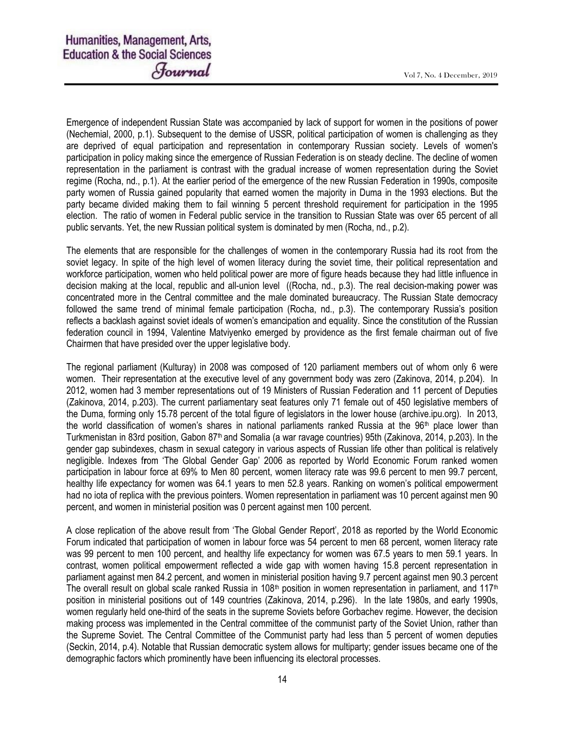Emergence of independent Russian State was accompanied by lack of support for women in the positions of power (Nechemial, 2000, p.1). Subsequent to the demise of USSR, political participation of women is challenging as they are deprived of equal participation and representation in contemporary Russian society. Levels of women's participation in policy making since the emergence of Russian Federation is on steady decline. The decline of women representation in the parliament is contrast with the gradual increase of women representation during the Soviet regime (Rocha, nd., p.1). At the earlier period of the emergence of the new Russian Federation in 1990s, composite party women of Russia gained popularity that earned women the majority in Duma in the 1993 elections. But the party became divided making them to fail winning 5 percent threshold requirement for participation in the 1995 election. The ratio of women in Federal public service in the transition to Russian State was over 65 percent of all public servants. Yet, the new Russian political system is dominated by men (Rocha, nd., p.2).

The elements that are responsible for the challenges of women in the contemporary Russia had its root from the soviet legacy. In spite of the high level of women literacy during the soviet time, their political representation and workforce participation, women who held political power are more of figure heads because they had little influence in decision making at the local, republic and all-union level ((Rocha, nd., p.3). The real decision-making power was concentrated more in the Central committee and the male dominated bureaucracy. The Russian State democracy followed the same trend of minimal female participation (Rocha, nd., p.3). The contemporary Russia's position reflects a backlash against soviet ideals of women's emancipation and equality. Since the constitution of the Russian federation council in 1994, Valentine Matviyenko emerged by providence as the first female chairman out of five Chairmen that have presided over the upper legislative body.

The regional parliament (Kulturay) in 2008 was composed of 120 parliament members out of whom only 6 were women. Their representation at the executive level of any government body was zero (Zakinova, 2014, p.204). In 2012, women had 3 member representations out of 19 Ministers of Russian Federation and 11 percent of Deputies (Zakinova, 2014, p.203). The current parliamentary seat features only 71 female out of 450 legislative members of the Duma, forming only 15.78 percent of the total figure of legislators in the lower house (archive.ipu.org). In 2013, the world classification of women's shares in national parliaments ranked Russia at the 96<sup>th</sup> place lower than Turkmenistan in 83rd position, Gabon 87<sup>th</sup> and Somalia (a war ravage countries) 95th (Zakinova, 2014, p.203). In the gender gap subindexes, chasm in sexual category in various aspects of Russian life other than political is relatively negligible. Indexes from 'The Global Gender Gap' 2006 as reported by World Economic Forum ranked women participation in labour force at 69% to Men 80 percent, women literacy rate was 99.6 percent to men 99.7 percent, healthy life expectancy for women was 64.1 years to men 52.8 years. Ranking on women's political empowerment had no iota of replica with the previous pointers. Women representation in parliament was 10 percent against men 90 percent, and women in ministerial position was 0 percent against men 100 percent.

A close replication of the above result from 'The Global Gender Report', 2018 as reported by the World Economic Forum indicated that participation of women in labour force was 54 percent to men 68 percent, women literacy rate was 99 percent to men 100 percent, and healthy life expectancy for women was 67.5 years to men 59.1 years. In contrast, women political empowerment reflected a wide gap with women having 15.8 percent representation in parliament against men 84.2 percent, and women in ministerial position having 9.7 percent against men 90.3 percent The overall result on global scale ranked Russia in 108<sup>th</sup> position in women representation in parliament, and 117<sup>th</sup> position in ministerial positions out of 149 countries (Zakinova, 2014, p.296). In the late 1980s, and early 1990s, women regularly held one-third of the seats in the supreme Soviets before Gorbachev regime. However, the decision making process was implemented in the Central committee of the communist party of the Soviet Union, rather than the Supreme Soviet. The Central Committee of the Communist party had less than 5 percent of women deputies (Seckin, 2014, p.4). Notable that Russian democratic system allows for multiparty; gender issues became one of the demographic factors which prominently have been influencing its electoral processes.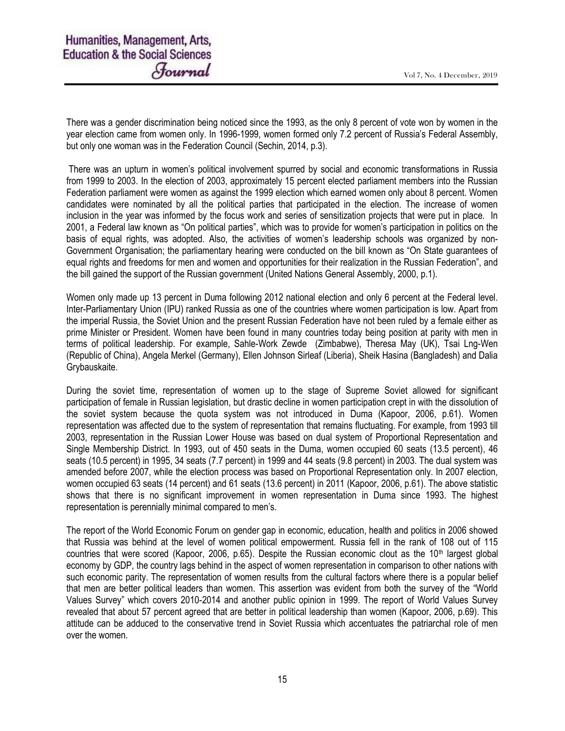There was a gender discrimination being noticed since the 1993, as the only 8 percent of vote won by women in the year election came from women only. In 1996-1999, women formed only 7.2 percent of Russia's Federal Assembly, but only one woman was in the Federation Council (Sechin, 2014, p.3).

 There was an upturn in women's political involvement spurred by social and economic transformations in Russia from 1999 to 2003. In the election of 2003, approximately 15 percent elected parliament members into the Russian Federation parliament were women as against the 1999 election which earned women only about 8 percent. Women candidates were nominated by all the political parties that participated in the election. The increase of women inclusion in the year was informed by the focus work and series of sensitization projects that were put in place. In 2001, a Federal law known as "On political parties", which was to provide for women's participation in politics on the basis of equal rights, was adopted. Also, the activities of women's leadership schools was organized by non-Government Organisation; the parliamentary hearing were conducted on the bill known as "On State guarantees of equal rights and freedoms for men and women and opportunities for their realization in the Russian Federation", and the bill gained the support of the Russian government (United Nations General Assembly, 2000, p.1).

Women only made up 13 percent in Duma following 2012 national election and only 6 percent at the Federal level. Inter-Parliamentary Union (IPU) ranked Russia as one of the countries where women participation is low. Apart from the imperial Russia, the Soviet Union and the present Russian Federation have not been ruled by a female either as prime Minister or President. Women have been found in many countries today being position at parity with men in terms of political leadership. For example, Sahle-Work Zewde (Zimbabwe), Theresa May (UK), Tsai Lng-Wen (Republic of China), Angela Merkel (Germany), Ellen Johnson Sirleaf (Liberia), Sheik Hasina (Bangladesh) and Dalia Grybauskaite.

During the soviet time, representation of women up to the stage of Supreme Soviet allowed for significant participation of female in Russian legislation, but drastic decline in women participation crept in with the dissolution of the soviet system because the quota system was not introduced in Duma (Kapoor, 2006, p.61). Women representation was affected due to the system of representation that remains fluctuating. For example, from 1993 till 2003, representation in the Russian Lower House was based on dual system of Proportional Representation and Single Membership District. In 1993, out of 450 seats in the Duma, women occupied 60 seats (13.5 percent), 46 seats (10.5 percent) in 1995, 34 seats (7.7 percent) in 1999 and 44 seats (9.8 percent) in 2003. The dual system was amended before 2007, while the election process was based on Proportional Representation only. In 2007 election, women occupied 63 seats (14 percent) and 61 seats (13.6 percent) in 2011 (Kapoor, 2006, p.61). The above statistic shows that there is no significant improvement in women representation in Duma since 1993. The highest representation is perennially minimal compared to men's.

The report of the World Economic Forum on gender gap in economic, education, health and politics in 2006 showed that Russia was behind at the level of women political empowerment. Russia fell in the rank of 108 out of 115 countries that were scored (Kapoor, 2006, p.65). Despite the Russian economic clout as the  $10<sup>th</sup>$  largest global economy by GDP, the country lags behind in the aspect of women representation in comparison to other nations with such economic parity. The representation of women results from the cultural factors where there is a popular belief that men are better political leaders than women. This assertion was evident from both the survey of the "World Values Survey" which covers 2010-2014 and another public opinion in 1999. The report of World Values Survey revealed that about 57 percent agreed that are better in political leadership than women (Kapoor, 2006, p.69). This attitude can be adduced to the conservative trend in Soviet Russia which accentuates the patriarchal role of men over the women.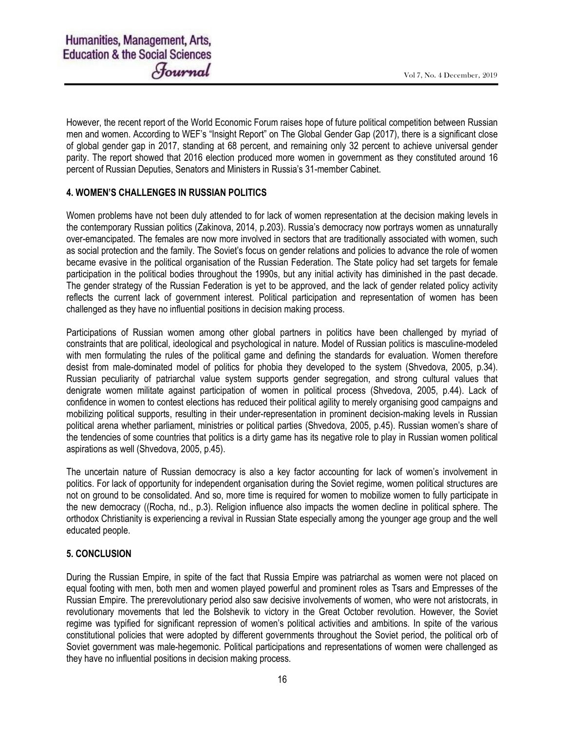However, the recent report of the World Economic Forum raises hope of future political competition between Russian men and women. According to WEF's "Insight Report" on The Global Gender Gap (2017), there is a significant close of global gender gap in 2017, standing at 68 percent, and remaining only 32 percent to achieve universal gender parity. The report showed that 2016 election produced more women in government as they constituted around 16 percent of Russian Deputies, Senators and Ministers in Russia's 31-member Cabinet.

# 4. WOMEN'S CHALLENGES IN RUSSIAN POLITICS

Women problems have not been duly attended to for lack of women representation at the decision making levels in the contemporary Russian politics (Zakinova, 2014, p.203). Russia's democracy now portrays women as unnaturally over-emancipated. The females are now more involved in sectors that are traditionally associated with women, such as social protection and the family. The Soviet's focus on gender relations and policies to advance the role of women became evasive in the political organisation of the Russian Federation. The State policy had set targets for female participation in the political bodies throughout the 1990s, but any initial activity has diminished in the past decade. The gender strategy of the Russian Federation is yet to be approved, and the lack of gender related policy activity reflects the current lack of government interest. Political participation and representation of women has been challenged as they have no influential positions in decision making process.

Participations of Russian women among other global partners in politics have been challenged by myriad of constraints that are political, ideological and psychological in nature. Model of Russian politics is masculine-modeled with men formulating the rules of the political game and defining the standards for evaluation. Women therefore desist from male-dominated model of politics for phobia they developed to the system (Shvedova, 2005, p.34). Russian peculiarity of patriarchal value system supports gender segregation, and strong cultural values that denigrate women militate against participation of women in political process (Shvedova, 2005, p.44). Lack of confidence in women to contest elections has reduced their political agility to merely organising good campaigns and mobilizing political supports, resulting in their under-representation in prominent decision-making levels in Russian political arena whether parliament, ministries or political parties (Shvedova, 2005, p.45). Russian women's share of the tendencies of some countries that politics is a dirty game has its negative role to play in Russian women political aspirations as well (Shvedova, 2005, p.45).

The uncertain nature of Russian democracy is also a key factor accounting for lack of women's involvement in politics. For lack of opportunity for independent organisation during the Soviet regime, women political structures are not on ground to be consolidated. And so, more time is required for women to mobilize women to fully participate in the new democracy ((Rocha, nd., p.3). Religion influence also impacts the women decline in political sphere. The orthodox Christianity is experiencing a revival in Russian State especially among the younger age group and the well educated people.

# 5. CONCLUSION

During the Russian Empire, in spite of the fact that Russia Empire was patriarchal as women were not placed on equal footing with men, both men and women played powerful and prominent roles as Tsars and Empresses of the Russian Empire. The prerevolutionary period also saw decisive involvements of women, who were not aristocrats, in revolutionary movements that led the Bolshevik to victory in the Great October revolution. However, the Soviet regime was typified for significant repression of women's political activities and ambitions. In spite of the various constitutional policies that were adopted by different governments throughout the Soviet period, the political orb of Soviet government was male-hegemonic. Political participations and representations of women were challenged as they have no influential positions in decision making process.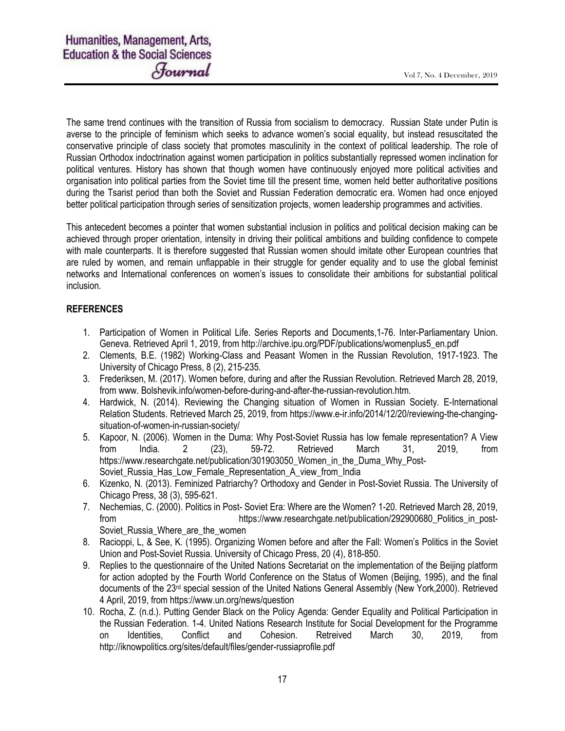The same trend continues with the transition of Russia from socialism to democracy. Russian State under Putin is averse to the principle of feminism which seeks to advance women's social equality, but instead resuscitated the conservative principle of class society that promotes masculinity in the context of political leadership. The role of Russian Orthodox indoctrination against women participation in politics substantially repressed women inclination for political ventures. History has shown that though women have continuously enjoyed more political activities and organisation into political parties from the Soviet time till the present time, women held better authoritative positions during the Tsarist period than both the Soviet and Russian Federation democratic era. Women had once enjoyed better political participation through series of sensitization projects, women leadership programmes and activities.

This antecedent becomes a pointer that women substantial inclusion in politics and political decision making can be achieved through proper orientation, intensity in driving their political ambitions and building confidence to compete with male counterparts. It is therefore suggested that Russian women should imitate other European countries that are ruled by women, and remain unflappable in their struggle for gender equality and to use the global feminist networks and International conferences on women's issues to consolidate their ambitions for substantial political inclusion.

## **REFERENCES**

- 1. Participation of Women in Political Life. Series Reports and Documents,1-76. Inter-Parliamentary Union. Geneva. Retrieved April 1, 2019, from http://archive.ipu.org/PDF/publications/womenplus5\_en.pdf
- 2. Clements, B.E. (1982) Working-Class and Peasant Women in the Russian Revolution, 1917-1923. The University of Chicago Press, 8 (2), 215-235.
- 3. Frederiksen, M. (2017). Women before, during and after the Russian Revolution. Retrieved March 28, 2019, from www. Bolshevik.info/women-before-during-and-after-the-russian-revolution.htm.
- 4. Hardwick, N. (2014). Reviewing the Changing situation of Women in Russian Society. E-International Relation Students. Retrieved March 25, 2019, from https://www.e-ir.info/2014/12/20/reviewing-the-changingsituation-of-women-in-russian-society/
- 5. Kapoor, N. (2006). Women in the Duma: Why Post-Soviet Russia has low female representation? A View from India. 2 (23), 59-72. Retrieved March 31, 2019, from https://www.researchgate.net/publication/301903050 Women in the Duma Why Post-Soviet Russia Has Low Female Representation A view from India
- 6. Kizenko, N. (2013). Feminized Patriarchy? Orthodoxy and Gender in Post-Soviet Russia. The University of Chicago Press, 38 (3), 595-621.
- 7. Nechemias, C. (2000). Politics in Post- Soviet Era: Where are the Women? 1-20. Retrieved March 28, 2019, from https://www.researchgate.net/publication/292900680\_Politics\_in\_post-Soviet Russia Where are the women
- 8. Racioppi, L, & See, K. (1995). Organizing Women before and after the Fall: Women's Politics in the Soviet Union and Post-Soviet Russia. University of Chicago Press, 20 (4), 818-850.
- 9. Replies to the questionnaire of the United Nations Secretariat on the implementation of the Beijing platform for action adopted by the Fourth World Conference on the Status of Women (Beijing, 1995), and the final documents of the 23<sup>rd</sup> special session of the United Nations General Assembly (New York, 2000). Retrieved 4 April, 2019, from https://www.un.org/news/question
- 10. Rocha, Z. (n.d.). Putting Gender Black on the Policy Agenda: Gender Equality and Political Participation in the Russian Federation. 1-4. United Nations Research Institute for Social Development for the Programme on Identities, Conflict and Cohesion. Retreived March 30, 2019, from http://iknowpolitics.org/sites/default/files/gender-russiaprofile.pdf